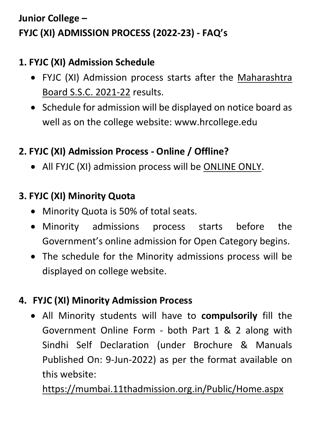# **Junior College – FYJC (XI) ADMISSION PROCESS (2022-23) - FAQ's**

## **1. FYJC (XI) Admission Schedule**

- FYJC (XI) Admission process starts after the Maharashtra Board S.S.C. 2021-22 results.
- Schedule for admission will be displayed on notice board as well as on the college website: www.hrcollege.edu

### **2. FYJC (XI) Admission Process - Online / Offline?**

• All FYJC (XI) admission process will be **ONLINE ONLY**.

### **3. FYJC (XI) Minority Quota**

- Minority Quota is 50% of total seats.
- Minority admissions process starts before the Government's online admission for Open Category begins.
- The schedule for the Minority admissions process will be displayed on college website.

#### **4. FYJC (XI) Minority Admission Process**

 All Minority students will have to **compulsorily** fill the Government Online Form - both Part 1 & 2 along with Sindhi Self Declaration (under Brochure & Manuals Published On: 9-Jun-2022) as per the format available on this website:

<https://mumbai.11thadmission.org.in/Public/Home.aspx>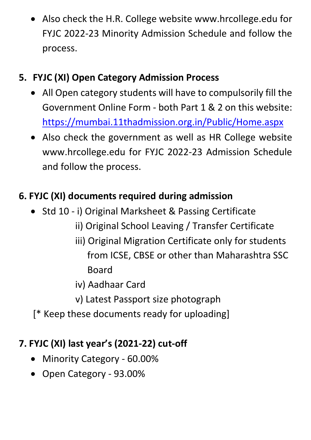Also check the H.R. College website www.hrcollege.edu for FYJC 2022-23 Minority Admission Schedule and follow the process.

## **5. FYJC (XI) Open Category Admission Process**

- All Open category students will have to compulsorily fill the Government Online Form - both Part 1 & 2 on this website: <https://mumbai.11thadmission.org.in/Public/Home.aspx>
- Also check the government as well as HR College website www.hrcollege.edu for FYJC 2022-23 Admission Schedule and follow the process.

## **6. FYJC (XI) documents required during admission**

- Std 10 i) Original Marksheet & Passing Certificate
	- ii) Original School Leaving / Transfer Certificate
	- iii) Original Migration Certificate only for students from ICSE, CBSE or other than Maharashtra SSC Board
	- iv) Aadhaar Card
	- v) Latest Passport size photograph
- [\* Keep these documents ready for uploading]

#### **7. FYJC (XI) last year's (2021-22) cut-off**

- Minority Category 60.00%
- Open Category 93.00%